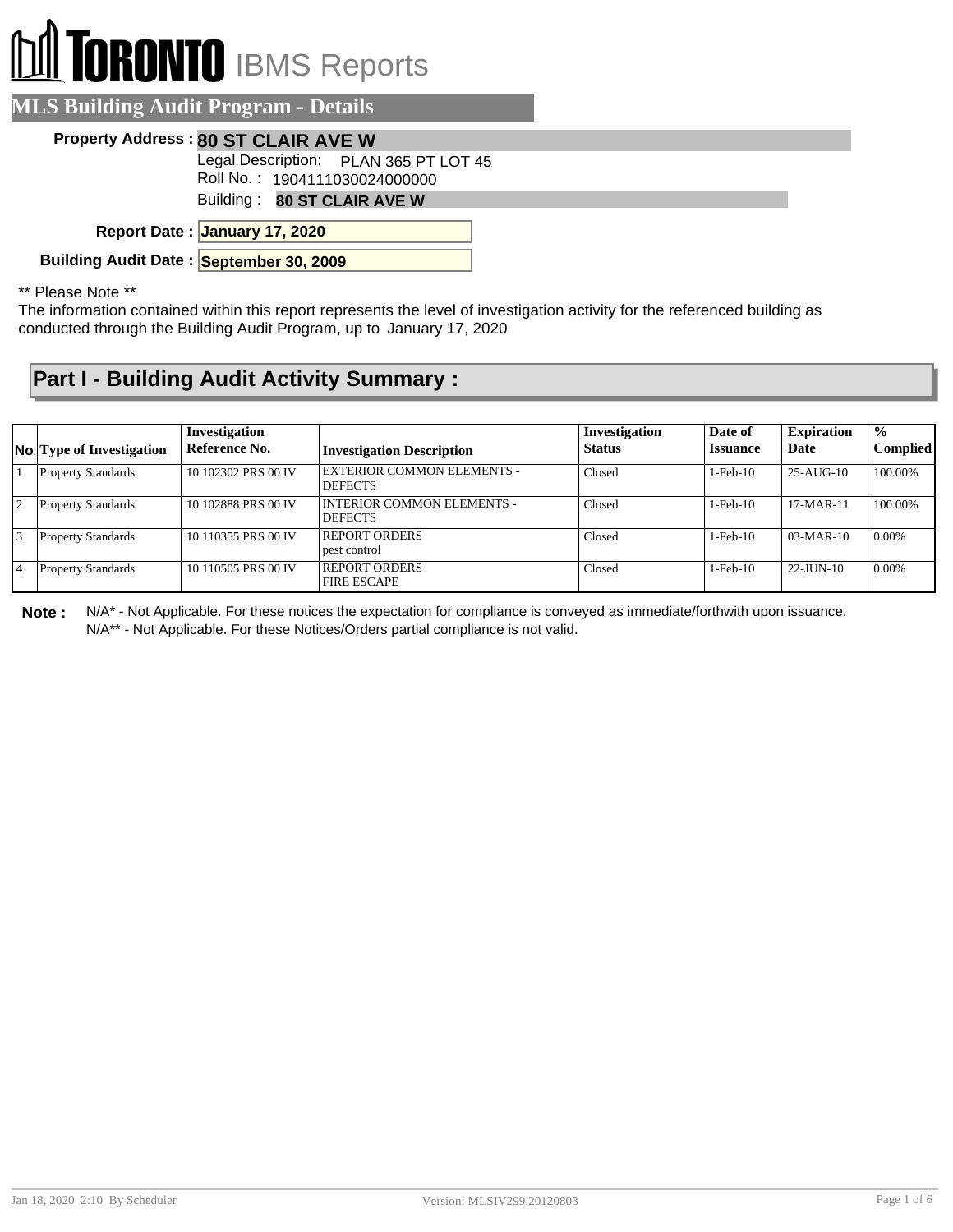# **DRONTO** IBMS Reports

### **MLS Building Audit Program - Details**

#### **Property Address : 80 ST CLAIR AVE W**

Legal Description: PLAN 365 PT LOT 45

Roll No. : 1904111030024000000

Building : **80 ST CLAIR AVE W**

**January 17, 2020 Report Date :**

**Building Audit Date : September 30, 2009**

#### \*\* Please Note \*\*

The information contained within this report represents the level of investigation activity for the referenced building as conducted through the Building Audit Program, up to January 17, 2020

## **Part I - Building Audit Activity Summary :**

|                 | <b>No.</b> Type of Investigation | Investigation<br>Reference No. | <b>Investigation Description</b>                    | Investigation<br><b>Status</b> | Date of<br><b>Issuance</b> | <b>Expiration</b><br>Date | $\mathcal{O}'_0$<br><b>Complied</b> |
|-----------------|----------------------------------|--------------------------------|-----------------------------------------------------|--------------------------------|----------------------------|---------------------------|-------------------------------------|
|                 | <b>Property Standards</b>        | 10 102302 PRS 00 IV            | <b>EXTERIOR COMMON ELEMENTS -</b><br><b>DEFECTS</b> | Closed                         | $1-Feb-10$                 | $25-AUG-10$               | 100.00%                             |
| $\overline{12}$ | <b>Property Standards</b>        | 10 102888 PRS 00 IV            | INTERIOR COMMON ELEMENTS -<br><b>DEFECTS</b>        | Closed                         | $1-Feb-10$                 | $17-MAR-11$               | 100.00%                             |
|                 | <b>Property Standards</b>        | 10 110355 PRS 00 IV            | <b>REPORT ORDERS</b><br>pest control                | Closed                         | $1-Feb-10$                 | $03-MAR-10$               | $0.00\%$                            |
|                 | <b>Property Standards</b>        | 10 110505 PRS 00 IV            | <b>REPORT ORDERS</b><br><b>FIRE ESCAPE</b>          | Closed                         | $1-Feb-10$                 | $22$ -JUN-10              | $0.00\%$                            |

**Note :** N/A\* - Not Applicable. For these notices the expectation for compliance is conveyed as immediate/forthwith upon issuance. N/A\*\* - Not Applicable. For these Notices/Orders partial compliance is not valid.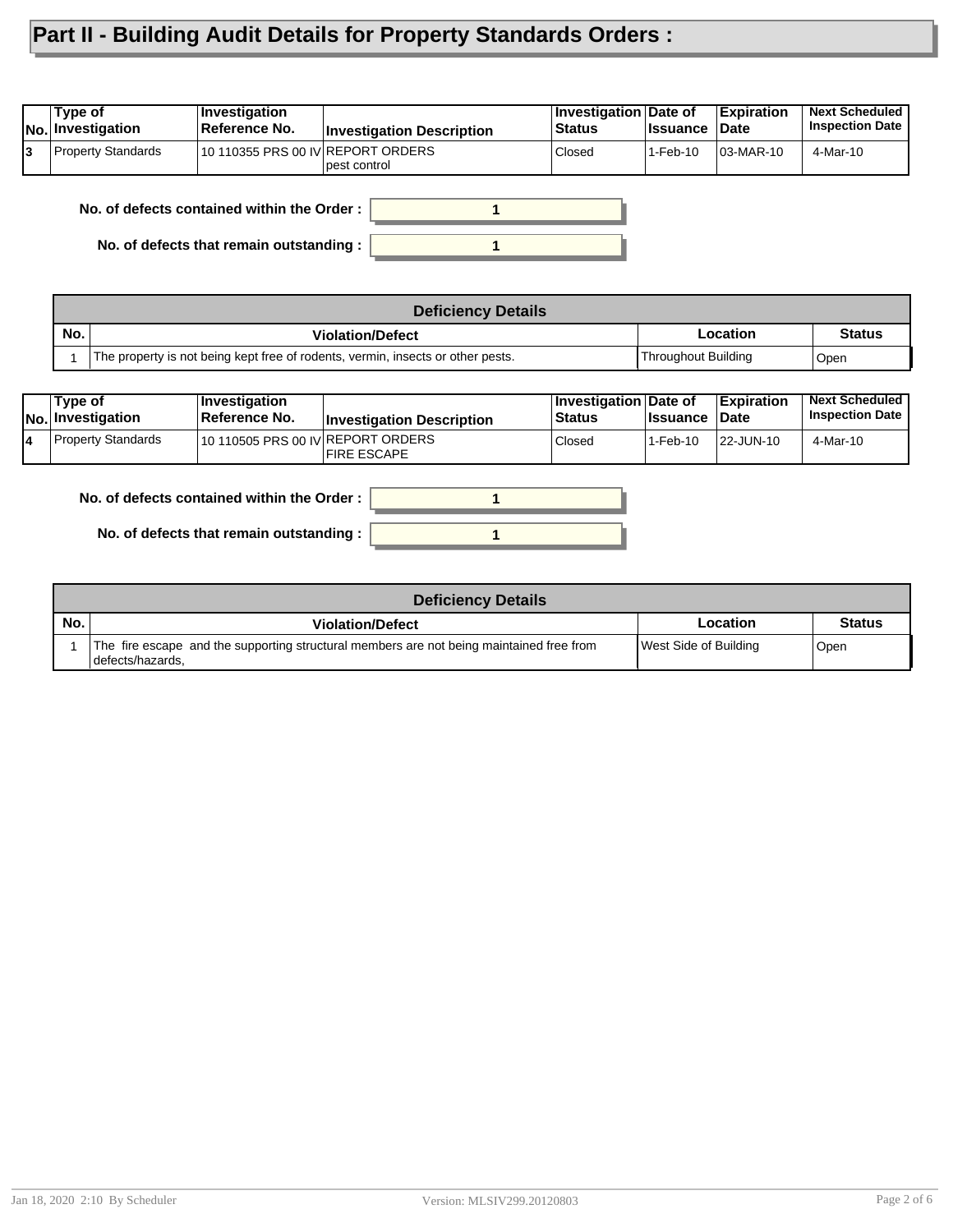# **Part II - Building Audit Details for Property Standards Orders :**

| lNo.                                     | ∣Type of<br>Investigation | <b>Investigation</b><br>Reference No.      | <b>Investigation Description</b> | Investigation Date of<br><b>Status</b> | <b>Issuance</b> | <b>Expiration</b><br>Date | <b>Next Scheduled</b><br><b>Inspection Date</b> |
|------------------------------------------|---------------------------|--------------------------------------------|----------------------------------|----------------------------------------|-----------------|---------------------------|-------------------------------------------------|
| l3                                       | Property Standards        | 10 110355 PRS 00 IV REPORT ORDERS          | pest control                     | Closed                                 | 1-Feb-10        | 03-MAR-10                 | 4-Mar-10                                        |
|                                          |                           | No. of defects contained within the Order: |                                  |                                        |                 |                           |                                                 |
| No. of defects that remain outstanding : |                           |                                            |                                  |                                        |                 |                           |                                                 |

| <b>Deficiency Details</b> |                                                                                 |                     |               |  |  |  |
|---------------------------|---------------------------------------------------------------------------------|---------------------|---------------|--|--|--|
| No.                       | <b>Violation/Defect</b>                                                         | Location            | <b>Status</b> |  |  |  |
|                           | The property is not being kept free of rodents, vermin, insects or other pests. | Throughout Building | Open          |  |  |  |

| Tvpe of<br>No. Investigation | <b>Investigation</b><br>⊺Reference No. | <b>Investigation Description</b> | <b>Investigation Date of</b><br><b>Status</b> | <b>lssuance</b> | Expiration<br><b>Date</b> | <b>Next Scheduled</b><br><b>Inspection Date</b> |
|------------------------------|----------------------------------------|----------------------------------|-----------------------------------------------|-----------------|---------------------------|-------------------------------------------------|
| Property Standards           | 10 110505 PRS 00 IV REPORT ORDERS      | <b>IFIRE ESCAPE</b>              | Closed                                        | 1-Feb-10        | 22-JUN-10                 | 4-Mar-10                                        |



|     | <b>Deficiency Details</b>                                                                                      |                       |               |  |  |  |  |  |
|-----|----------------------------------------------------------------------------------------------------------------|-----------------------|---------------|--|--|--|--|--|
| No. | <b>Violation/Defect</b>                                                                                        | Location              | <b>Status</b> |  |  |  |  |  |
|     | The fire escape and the supporting structural members are not being maintained free from<br>I defects/hazards. | West Side of Building | Open          |  |  |  |  |  |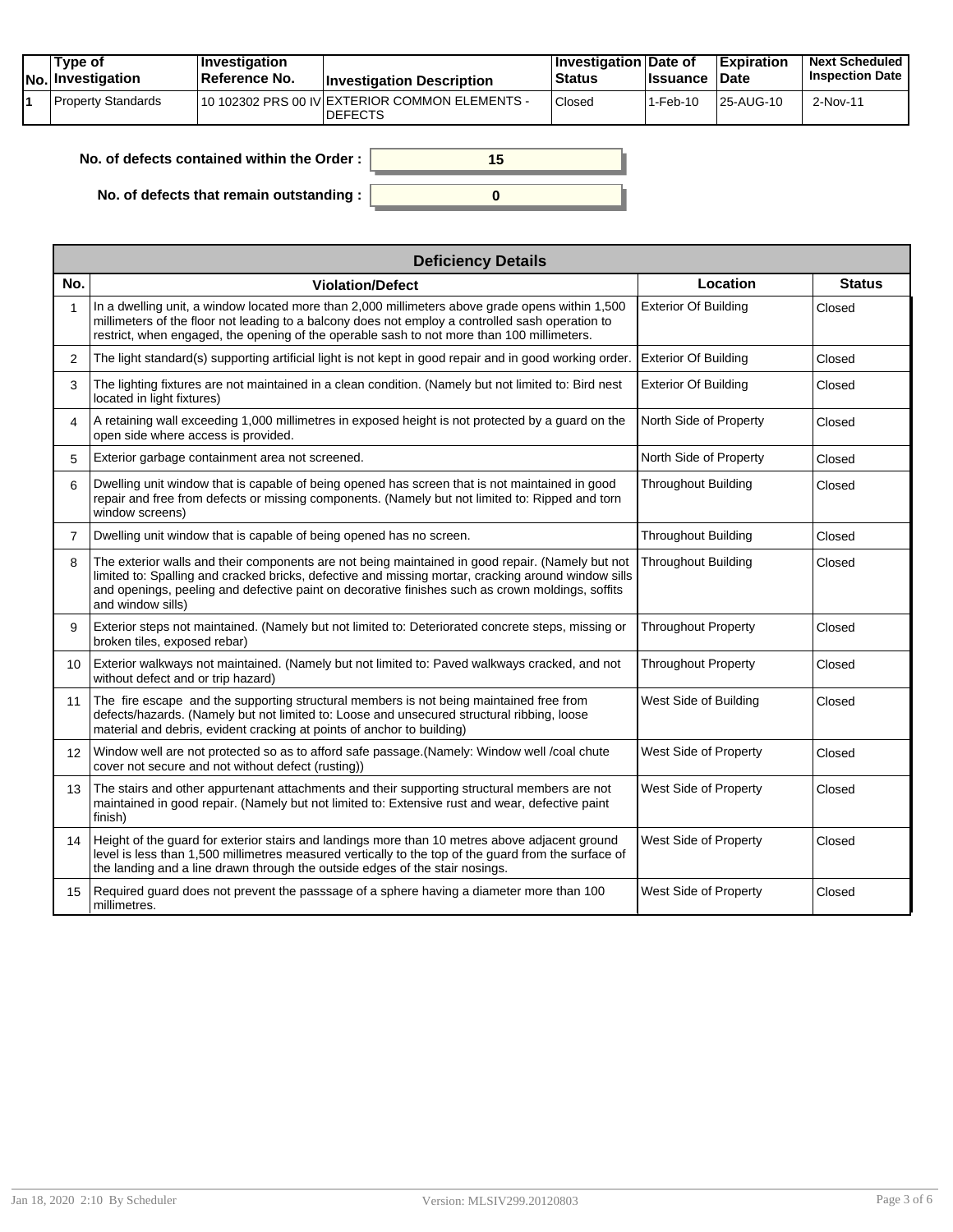| Tvpe of<br>No. Investigation | <b>Investigation</b><br>⊺Reference No. | <b>Investigation Description</b>                                 | ∣Investigation Date of<br>Status | <b>Issuance Date</b> | <b>Expiration</b> | <b>Next Scheduled</b><br><b>Inspection Date</b> |
|------------------------------|----------------------------------------|------------------------------------------------------------------|----------------------------------|----------------------|-------------------|-------------------------------------------------|
| Property Standards           |                                        | 10 102302 PRS 00 IV EXTERIOR COMMON ELEMENTS -<br><b>DEFECTS</b> | Closed                           | 1-Feb-10             | 25-AUG-10         | 2-Nov-11                                        |

| . of defects contained within the Order: | 15 |
|------------------------------------------|----|
| No. of defects that remain outstanding:  |    |

|                   | <b>Deficiency Details</b>                                                                                                                                                                                                                                                                                                        |                             |               |  |  |  |  |
|-------------------|----------------------------------------------------------------------------------------------------------------------------------------------------------------------------------------------------------------------------------------------------------------------------------------------------------------------------------|-----------------------------|---------------|--|--|--|--|
| No.               | <b>Violation/Defect</b>                                                                                                                                                                                                                                                                                                          | Location                    | <b>Status</b> |  |  |  |  |
| $\mathbf{1}$      | In a dwelling unit, a window located more than 2,000 millimeters above grade opens within 1,500<br>millimeters of the floor not leading to a balcony does not employ a controlled sash operation to<br>restrict, when engaged, the opening of the operable sash to not more than 100 millimeters.                                | <b>Exterior Of Building</b> | Closed        |  |  |  |  |
| 2                 | The light standard(s) supporting artificial light is not kept in good repair and in good working order.                                                                                                                                                                                                                          | <b>Exterior Of Building</b> | Closed        |  |  |  |  |
| 3                 | The lighting fixtures are not maintained in a clean condition. (Namely but not limited to: Bird nest<br>located in light fixtures)                                                                                                                                                                                               | <b>Exterior Of Building</b> | Closed        |  |  |  |  |
| 4                 | A retaining wall exceeding 1,000 millimetres in exposed height is not protected by a guard on the<br>open side where access is provided.                                                                                                                                                                                         | North Side of Property      | Closed        |  |  |  |  |
| 5                 | Exterior garbage containment area not screened.                                                                                                                                                                                                                                                                                  | North Side of Property      | Closed        |  |  |  |  |
| 6                 | Dwelling unit window that is capable of being opened has screen that is not maintained in good<br>repair and free from defects or missing components. (Namely but not limited to: Ripped and torn<br>window screens)                                                                                                             | <b>Throughout Building</b>  | Closed        |  |  |  |  |
| $\overline{7}$    | Dwelling unit window that is capable of being opened has no screen.                                                                                                                                                                                                                                                              | <b>Throughout Building</b>  | Closed        |  |  |  |  |
| 8                 | The exterior walls and their components are not being maintained in good repair. (Namely but not<br>limited to: Spalling and cracked bricks, defective and missing mortar, cracking around window sills<br>and openings, peeling and defective paint on decorative finishes such as crown moldings, soffits<br>and window sills) | <b>Throughout Building</b>  | Closed        |  |  |  |  |
| 9                 | Exterior steps not maintained. (Namely but not limited to: Deteriorated concrete steps, missing or<br>broken tiles, exposed rebar)                                                                                                                                                                                               | <b>Throughout Property</b>  | Closed        |  |  |  |  |
| 10                | Exterior walkways not maintained. (Namely but not limited to: Paved walkways cracked, and not<br>without defect and or trip hazard)                                                                                                                                                                                              | <b>Throughout Property</b>  | Closed        |  |  |  |  |
| 11                | The fire escape and the supporting structural members is not being maintained free from<br>defects/hazards. (Namely but not limited to: Loose and unsecured structural ribbing, loose<br>material and debris, evident cracking at points of anchor to building)                                                                  | West Side of Building       | Closed        |  |  |  |  |
| $12 \overline{ }$ | Window well are not protected so as to afford safe passage. (Namely: Window well /coal chute<br>cover not secure and not without defect (rusting))                                                                                                                                                                               | West Side of Property       | Closed        |  |  |  |  |
| 13                | The stairs and other appurtenant attachments and their supporting structural members are not<br>maintained in good repair. (Namely but not limited to: Extensive rust and wear, defective paint<br>finish)                                                                                                                       | West Side of Property       | Closed        |  |  |  |  |
| 14                | Height of the guard for exterior stairs and landings more than 10 metres above adjacent ground<br>level is less than 1,500 millimetres measured vertically to the top of the guard from the surface of<br>the landing and a line drawn through the outside edges of the stair nosings.                                           | West Side of Property       | Closed        |  |  |  |  |
| 15                | Required guard does not prevent the passsage of a sphere having a diameter more than 100<br>millimetres.                                                                                                                                                                                                                         | West Side of Property       | Closed        |  |  |  |  |

**No. of**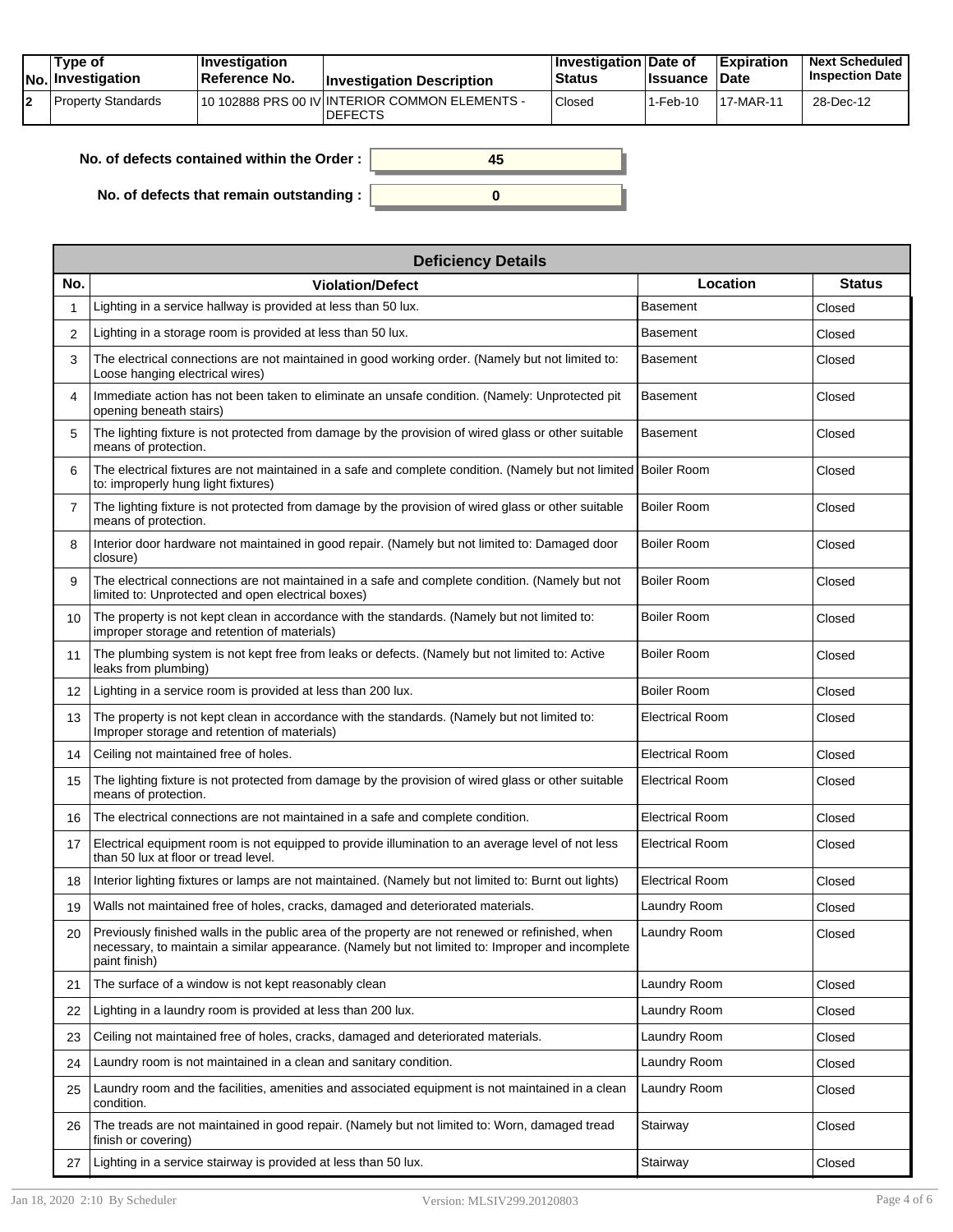|  | Tvpe of<br>$ No $ Investigation | <b>Investigation</b><br>Reference No. | <b>Investigation Description</b>                                  | <b>∣Investigation Date of</b><br>∣Status | <b>Ilssuance Date</b> | <b>Expiration</b> | <b>Next Scheduled</b><br><b>Inspection Date</b> |
|--|---------------------------------|---------------------------------------|-------------------------------------------------------------------|------------------------------------------|-----------------------|-------------------|-------------------------------------------------|
|  | l Property Standards            |                                       | 110 102888 PRS 00 IV INTERIOR COMMON ELEMENTS -<br><b>DEFECTS</b> | Closed                                   | 1-Feb-10              | 17-MAR-11         | 28-Dec-12                                       |

**0**

**45**

| No. of defects contained within the Order : |  |  |  |  |
|---------------------------------------------|--|--|--|--|
|---------------------------------------------|--|--|--|--|

**No. of defects that remain outstanding :**

|                   | <b>Deficiency Details</b>                                                                                                                                                                                             |                        |               |  |  |  |  |
|-------------------|-----------------------------------------------------------------------------------------------------------------------------------------------------------------------------------------------------------------------|------------------------|---------------|--|--|--|--|
| No.               | <b>Violation/Defect</b>                                                                                                                                                                                               | Location               | <b>Status</b> |  |  |  |  |
| 1                 | Lighting in a service hallway is provided at less than 50 lux.                                                                                                                                                        | Basement               | Closed        |  |  |  |  |
| 2                 | Lighting in a storage room is provided at less than 50 lux.                                                                                                                                                           | Basement               | Closed        |  |  |  |  |
| 3                 | The electrical connections are not maintained in good working order. (Namely but not limited to:<br>Loose hanging electrical wires)                                                                                   | <b>Basement</b>        | Closed        |  |  |  |  |
| 4                 | Immediate action has not been taken to eliminate an unsafe condition. (Namely: Unprotected pit<br>opening beneath stairs)                                                                                             | <b>Basement</b>        | Closed        |  |  |  |  |
| 5                 | The lighting fixture is not protected from damage by the provision of wired glass or other suitable<br>means of protection.                                                                                           | <b>Basement</b>        | Closed        |  |  |  |  |
| 6                 | The electrical fixtures are not maintained in a safe and complete condition. (Namely but not limited Boiler Room<br>to: improperly hung light fixtures)                                                               |                        | Closed        |  |  |  |  |
| 7                 | The lighting fixture is not protected from damage by the provision of wired glass or other suitable<br>means of protection.                                                                                           | <b>Boiler Room</b>     | Closed        |  |  |  |  |
| 8                 | Interior door hardware not maintained in good repair. (Namely but not limited to: Damaged door<br>closure)                                                                                                            | <b>Boiler Room</b>     | Closed        |  |  |  |  |
| 9                 | The electrical connections are not maintained in a safe and complete condition. (Namely but not<br>limited to: Unprotected and open electrical boxes)                                                                 | <b>Boiler Room</b>     | Closed        |  |  |  |  |
| 10                | The property is not kept clean in accordance with the standards. (Namely but not limited to:<br>improper storage and retention of materials)                                                                          | <b>Boiler Room</b>     | Closed        |  |  |  |  |
| 11                | The plumbing system is not kept free from leaks or defects. (Namely but not limited to: Active<br>leaks from plumbing)                                                                                                | <b>Boiler Room</b>     | Closed        |  |  |  |  |
| $12 \overline{ }$ | Lighting in a service room is provided at less than 200 lux.                                                                                                                                                          | <b>Boiler Room</b>     | Closed        |  |  |  |  |
| 13                | The property is not kept clean in accordance with the standards. (Namely but not limited to:<br>Improper storage and retention of materials)                                                                          | <b>Electrical Room</b> | Closed        |  |  |  |  |
| 14                | Ceiling not maintained free of holes.                                                                                                                                                                                 | <b>Electrical Room</b> | Closed        |  |  |  |  |
| 15                | The lighting fixture is not protected from damage by the provision of wired glass or other suitable<br>means of protection.                                                                                           | <b>Electrical Room</b> | Closed        |  |  |  |  |
| 16                | The electrical connections are not maintained in a safe and complete condition.                                                                                                                                       | <b>Electrical Room</b> | Closed        |  |  |  |  |
| 17                | Electrical equipment room is not equipped to provide illumination to an average level of not less<br>than 50 lux at floor or tread level.                                                                             | <b>Electrical Room</b> | Closed        |  |  |  |  |
| 18                | Interior lighting fixtures or lamps are not maintained. (Namely but not limited to: Burnt out lights)                                                                                                                 | <b>Electrical Room</b> | Closed        |  |  |  |  |
| 19                | Walls not maintained free of holes, cracks, damaged and deteriorated materials.                                                                                                                                       | Laundry Room           | Closed        |  |  |  |  |
| 20                | Previously finished walls in the public area of the property are not renewed or refinished, when<br>necessary, to maintain a similar appearance. (Namely but not limited to: Improper and incomplete<br>paint finish) | Laundry Room           | Closed        |  |  |  |  |
| 21                | The surface of a window is not kept reasonably clean                                                                                                                                                                  | Laundry Room           | Closed        |  |  |  |  |
| 22                | Lighting in a laundry room is provided at less than 200 lux.                                                                                                                                                          | Laundry Room           | Closed        |  |  |  |  |
| 23                | Ceiling not maintained free of holes, cracks, damaged and deteriorated materials.                                                                                                                                     | Laundry Room           | Closed        |  |  |  |  |
| 24                | Laundry room is not maintained in a clean and sanitary condition.                                                                                                                                                     | Laundry Room           | Closed        |  |  |  |  |
| 25                | Laundry room and the facilities, amenities and associated equipment is not maintained in a clean<br>condition.                                                                                                        | Laundry Room           | Closed        |  |  |  |  |
| 26                | The treads are not maintained in good repair. (Namely but not limited to: Worn, damaged tread<br>finish or covering)                                                                                                  | Stairway               | Closed        |  |  |  |  |
| 27                | Lighting in a service stairway is provided at less than 50 lux.                                                                                                                                                       | Stairway               | Closed        |  |  |  |  |

٦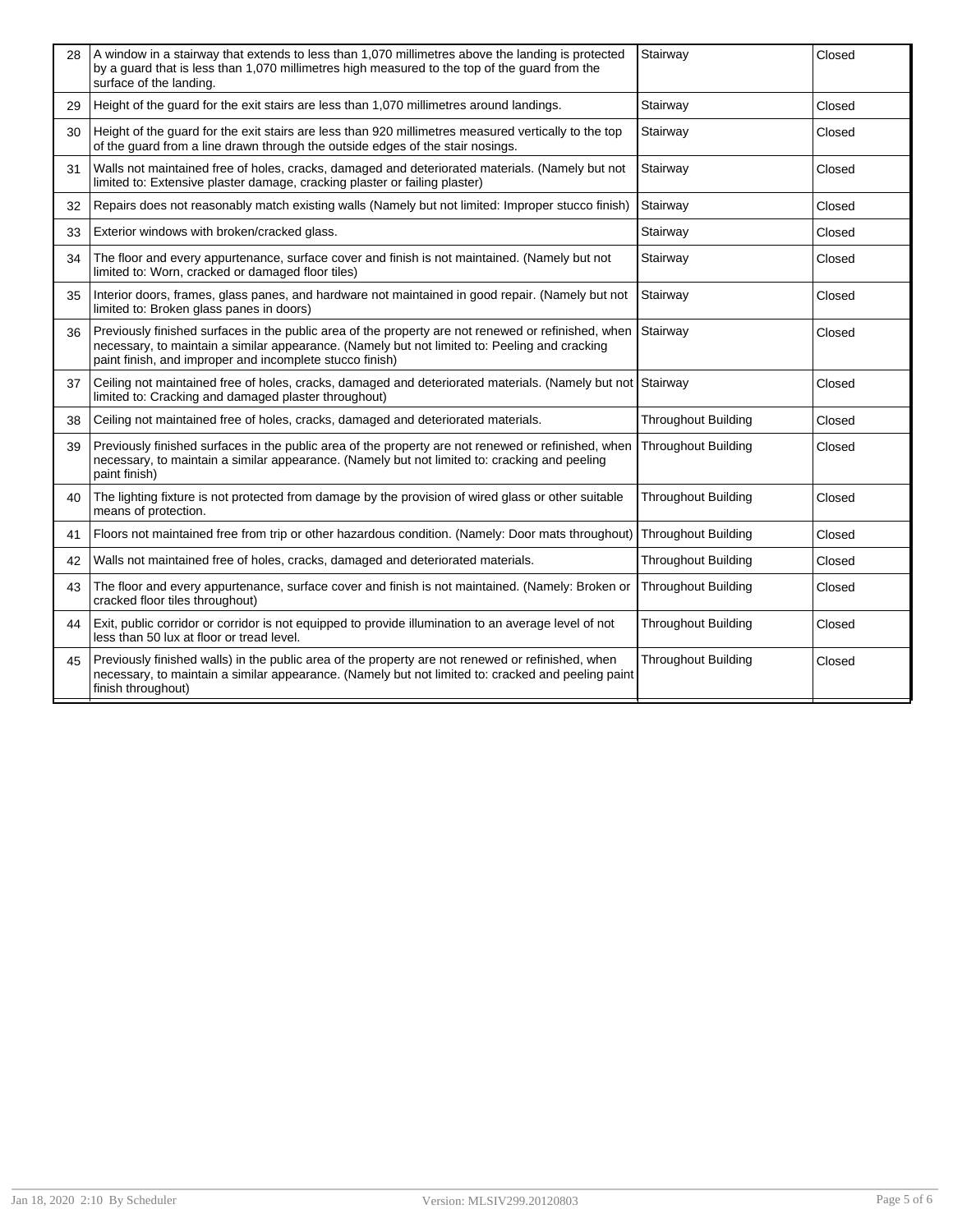| 28 | A window in a stairway that extends to less than 1,070 millimetres above the landing is protected<br>by a guard that is less than 1,070 millimetres high measured to the top of the guard from the<br>surface of the landing.                                    | Stairway                   | Closed |
|----|------------------------------------------------------------------------------------------------------------------------------------------------------------------------------------------------------------------------------------------------------------------|----------------------------|--------|
| 29 | Height of the guard for the exit stairs are less than 1,070 millimetres around landings.                                                                                                                                                                         | Stairway                   | Closed |
| 30 | Height of the guard for the exit stairs are less than 920 millimetres measured vertically to the top<br>of the guard from a line drawn through the outside edges of the stair nosings.                                                                           | Stairway                   | Closed |
| 31 | Walls not maintained free of holes, cracks, damaged and deteriorated materials. (Namely but not<br>limited to: Extensive plaster damage, cracking plaster or failing plaster)                                                                                    | Stairway                   | Closed |
| 32 | Repairs does not reasonably match existing walls (Namely but not limited: Improper stucco finish)                                                                                                                                                                | Stairway                   | Closed |
| 33 | Exterior windows with broken/cracked glass.                                                                                                                                                                                                                      | Stairway                   | Closed |
| 34 | The floor and every appurtenance, surface cover and finish is not maintained. (Namely but not<br>limited to: Worn, cracked or damaged floor tiles)                                                                                                               | Stairway                   | Closed |
| 35 | Interior doors, frames, glass panes, and hardware not maintained in good repair. (Namely but not<br>limited to: Broken glass panes in doors)                                                                                                                     | Stairway                   | Closed |
| 36 | Previously finished surfaces in the public area of the property are not renewed or refinished, when<br>necessary, to maintain a similar appearance. (Namely but not limited to: Peeling and cracking<br>paint finish, and improper and incomplete stucco finish) | Stairway                   | Closed |
| 37 | Ceiling not maintained free of holes, cracks, damaged and deteriorated materials. (Namely but not Stairway<br>limited to: Cracking and damaged plaster throughout)                                                                                               |                            | Closed |
| 38 | Ceiling not maintained free of holes, cracks, damaged and deteriorated materials.                                                                                                                                                                                | <b>Throughout Building</b> | Closed |
| 39 | Previously finished surfaces in the public area of the property are not renewed or refinished, when<br>necessary, to maintain a similar appearance. (Namely but not limited to: cracking and peeling<br>paint finish)                                            | <b>Throughout Building</b> | Closed |
| 40 | The lighting fixture is not protected from damage by the provision of wired glass or other suitable<br>means of protection.                                                                                                                                      | <b>Throughout Building</b> | Closed |
| 41 | Floors not maintained free from trip or other hazardous condition. (Namely: Door mats throughout)                                                                                                                                                                | <b>Throughout Building</b> | Closed |
| 42 | Walls not maintained free of holes, cracks, damaged and deteriorated materials.                                                                                                                                                                                  | <b>Throughout Building</b> | Closed |
| 43 | The floor and every appurtenance, surface cover and finish is not maintained. (Namely: Broken or<br>cracked floor tiles throughout)                                                                                                                              | <b>Throughout Building</b> | Closed |
| 44 | Exit, public corridor or corridor is not equipped to provide illumination to an average level of not<br>less than 50 lux at floor or tread level.                                                                                                                | <b>Throughout Building</b> | Closed |
| 45 | Previously finished walls) in the public area of the property are not renewed or refinished, when<br>necessary, to maintain a similar appearance. (Namely but not limited to: cracked and peeling paint<br>finish throughout)                                    | <b>Throughout Building</b> | Closed |